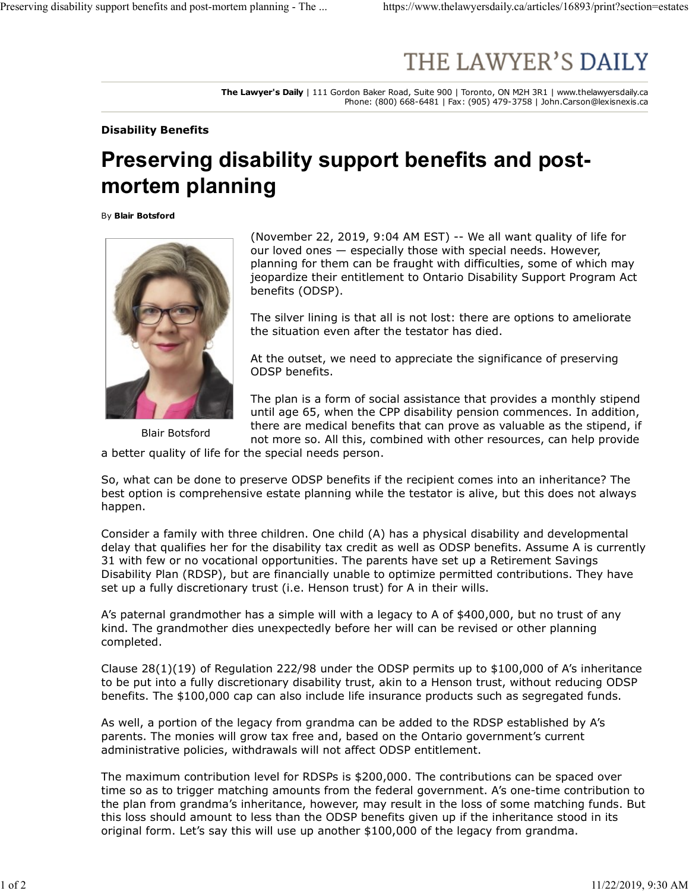## Preserving disability support benefits and post-mortem planning - The ... https://www.thelawyersdaily.ca/articles/16893/print?section=estates<br> $\mbox{THE LAWYER'S DAILY}$

The Lawyer's Daily | 111 Gordon Baker Road, Suite 900 | Toronto, ON M2H 3R1 | www.thelawyersdaily.ca Phone: (800) 668-6481 | Fax: (905) 479-3758 | John.Carson@lexisnexis.ca

Disability Benefits

## Preserving disability support benefits and postmortem planning

By Blair Botsford



(November 22, 2019, 9:04 AM EST) -- We all want quality of life for our loved ones — especially those with special needs. However, planning for them can be fraught with difficulties, some of which may jeopardize their entitlement to Ontario Disability Support Program Act benefits (ODSP).

The silver lining is that all is not lost: there are options to ameliorate the situation even after the testator has died.

At the outset, we need to appreciate the significance of preserving ODSP benefits.

Blair Botsford and more so. All this, combined with other resources, can help provide The plan is a form of social assistance that provides a monthly stipend until age 65, when the CPP disability pension commences. In addition, there are medical benefits that can prove as valuable as the stipend, if

a better quality of life for the special needs person.

So, what can be done to preserve ODSP benefits if the recipient comes into an inheritance? The best option is comprehensive estate planning while the testator is alive, but this does not always happen.

Consider a family with three children. One child (A) has a physical disability and developmental delay that qualifies her for the disability tax credit as well as ODSP benefits. Assume A is currently 31 with few or no vocational opportunities. The parents have set up a Retirement Savings Disability Plan (RDSP), but are financially unable to optimize permitted contributions. They have set up a fully discretionary trust (i.e. Henson trust) for A in their wills.

A's paternal grandmother has a simple will with a legacy to A of \$400,000, but no trust of any kind. The grandmother dies unexpectedly before her will can be revised or other planning completed.

Clause 28(1)(19) of Regulation 222/98 under the ODSP permits up to \$100,000 of A's inheritance to be put into a fully discretionary disability trust, akin to a Henson trust, without reducing ODSP benefits. The \$100,000 cap can also include life insurance products such as segregated funds.

As well, a portion of the legacy from grandma can be added to the RDSP established by A's parents. The monies will grow tax free and, based on the Ontario government's current administrative policies, withdrawals will not affect ODSP entitlement.

The maximum contribution level for RDSPs is \$200,000. The contributions can be spaced over time so as to trigger matching amounts from the federal government. A's one-time contribution to the plan from grandma's inheritance, however, may result in the loss of some matching funds. But this loss should amount to less than the ODSP benefits given up if the inheritance stood in its original form. Let's say this will use up another \$100,000 of the legacy from grandma.